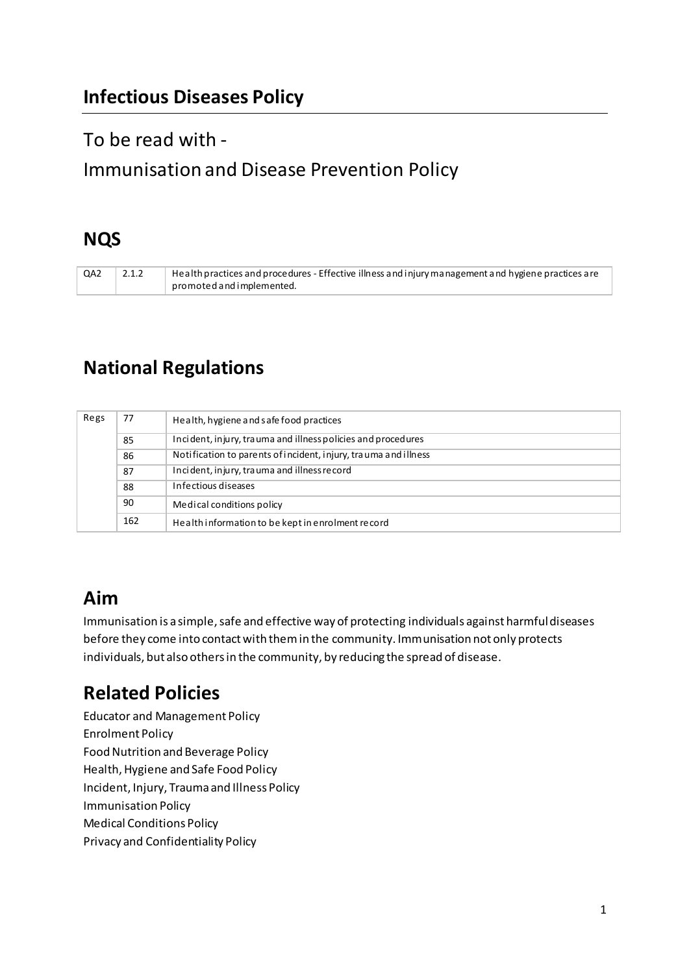# **Infectious Diseases Policy**

# To be read with -

# Immunisation and Disease Prevention Policy

# **NQS**

QA2 2.1.2 Health practices and procedures - Effective illness and injury management and hygiene practices are promoted and implemented.

# **National Regulations**

| Regs | 77  | Health, hygiene and safe food practices                         |
|------|-----|-----------------------------------------------------------------|
|      | 85  | Incident, injury, trauma and illness policies and procedures    |
|      | 86  | Notification to parents of incident, injury, trauma and illness |
|      | 87  | Incident, injury, trauma and illness record                     |
|      | 88  | Infectious diseases                                             |
|      | 90  | Medical conditions policy                                       |
|      | 162 | Health information to be kept in enrolment record               |

# **Aim**

Immunisation is a simple, safe and effective way of protecting individuals against harmful diseases before they come into contact with them in the community. Immunisation not only protects individuals, but also others in the community, by reducing the spread of disease.

# **Related Policies**

Educator and Management Policy Enrolment Policy Food Nutrition and Beverage Policy Health, Hygiene and Safe Food Policy Incident, Injury, Trauma and Illness Policy Immunisation Policy Medical Conditions Policy Privacy and Confidentiality Policy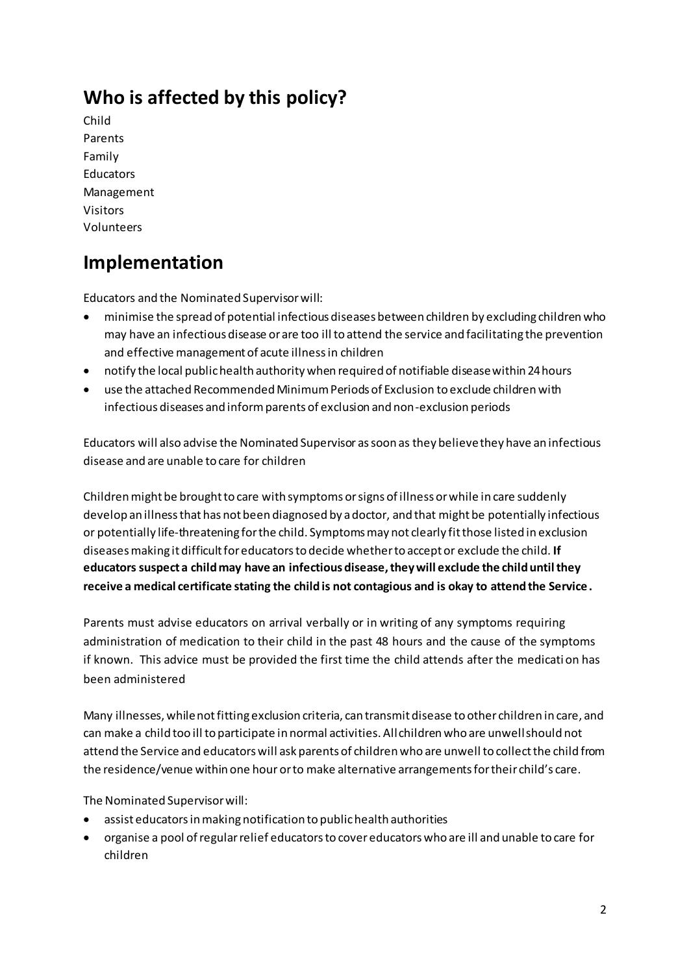# **Who is affected by this policy?**

Child Parents Family Educators Management Visitors Volunteers

# **Implementation**

Educators and the Nominated Supervisor will:

- minimise the spread of potential infectious diseases between children by excluding children who may have an infectious disease or are too ill to attend the service and facilitating the prevention and effective management of acute illness in children
- notify the local public health authority when required of notifiable disease within 24 hours
- use the attached Recommended Minimum Periods of Exclusion to exclude children with infectious diseases and inform parents of exclusion and non-exclusion periods

Educators will also advise the Nominated Supervisor as soon as they believe they have an infectious disease and are unable to care for children

Children might be brought to care with symptoms or signs of illness or while in care suddenly develop an illness that has not been diagnosed by a doctor, and that might be potentially infectious or potentially life-threatening for the child. Symptoms may not clearly fit those listed in exclusion diseases making it difficult for educators to decide whether to accept or exclude the child. **If educators suspect a child may have an infectious disease, they will exclude the child until they receive a medical certificate stating the child is not contagious and is okay to attend the Service.** 

Parents must advise educators on arrival verbally or in writing of any symptoms requiring administration of medication to their child in the past 48 hours and the cause of the symptoms if known. This advice must be provided the first time the child attends after the medicati on has been administered

Many illnesses, while not fitting exclusion criteria, can transmit disease to other children in care, and can make a child too ill to participate in normal activities. All children who are unwell should not attend the Service and educators will ask parents of children who are unwell to collect the child from the residence/venue within one hour or to make alternative arrangements for their child's care.

The Nominated Supervisor will:

- assist educators in making notification to public health authorities
- organise a pool of regular relief educators to cover educators who are ill and unable to care for children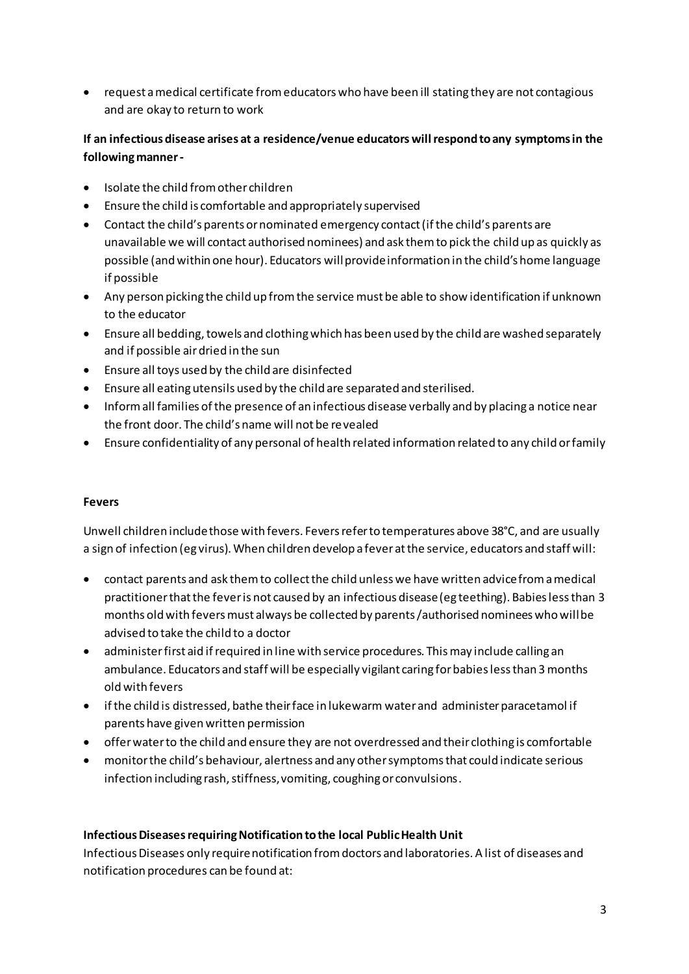• request a medical certificate from educators who have been ill stating they are not contagious and are okay to return to work

# **If an infectious disease arises at a residence/venue educators will respond to any symptoms in the following manner -**

- Isolate the child from other children
- Ensure the child is comfortable and appropriately supervised
- Contact the child's parents or nominated emergency contact (if the child's parents are unavailable we will contact authorised nominees) and ask them to pick the child up as quickly as possible (and within one hour). Educators will provide information in the child's home language if possible
- Any person picking the child up from the service must be able to show identification if unknown to the educator
- Ensure all bedding, towels and clothing which has been used by the child are washed separately and if possible air dried in the sun
- Ensure all toys used by the child are disinfected
- Ensure all eating utensils used by the child are separated and sterilised.
- Inform all families of the presence of an infectious disease verbally and by placing a notice near the front door. The child's name will not be revealed
- Ensure confidentiality of any personal of health related information related to any child or family

# **Fevers**

Unwell children include those with fevers. Fevers refer to temperatures above 38°C, and are usually a sign of infection (eg virus). When children develop a fever at the service, educators and staff will:

- contact parents and ask them to collect the child unless we have written advice from a medical practitioner that the fever is not caused by an infectious disease (eg teething). Babies less than 3 months old with fevers must always be collected by parents /authorised nominees who will be advised to take the child to a doctor
- administer first aid if required in line with service procedures. This may include calling an ambulance. Educators and staff will be especially vigilant caring for babies less than 3 months old with fevers
- if the child is distressed, bathe their face in lukewarm water and administer paracetamol if parents have given written permission
- offer water to the child and ensure they are not overdressed and their clothing is comfortable
- monitor the child's behaviour, alertness and any other symptoms that could indicate serious infection including rash, stiffness, vomiting, coughing or convulsions.

# **Infectious Diseases requiring Notification to the local Public Health Unit**

Infectious Diseases only require notification from doctors and laboratories. A list of diseases and notification procedures can be found at: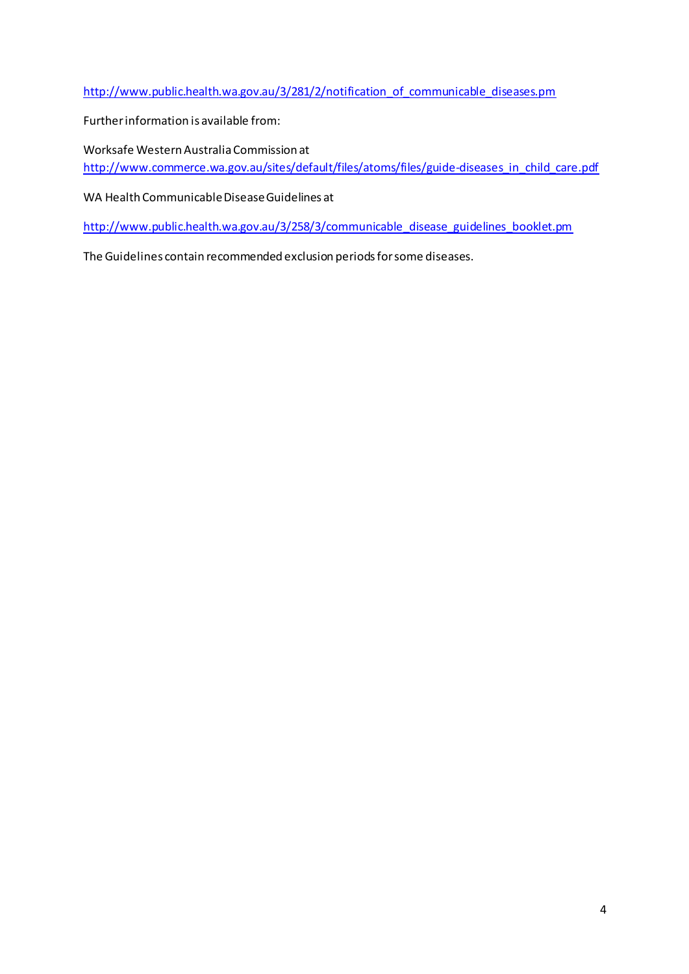[http://www.public.health.wa.gov.au/3/281/2/notification\\_of\\_communicable\\_diseases.pm](http://www.public.health.wa.gov.au/3/281/2/notification_of_communicable_diseases.pm)

Further information is available from:

Worksafe Western Australia Commission at [http://www.commerce.wa.gov.au/sites/default/files/atoms/files/guide-diseases\\_in\\_child\\_care.pdf](http://www.commerce.wa.gov.au/sites/default/files/atoms/files/guide-diseases_in_child_care.pdf)

WA Health Communicable Disease Guidelines at

[http://www.public.health.wa.gov.au/3/258/3/communicable\\_disease\\_guidelines\\_booklet.pm](http://www.public.health.wa.gov.au/3/258/3/communicable_disease_guidelines_booklet.pm)

The Guidelines contain recommended exclusion periods for some diseases.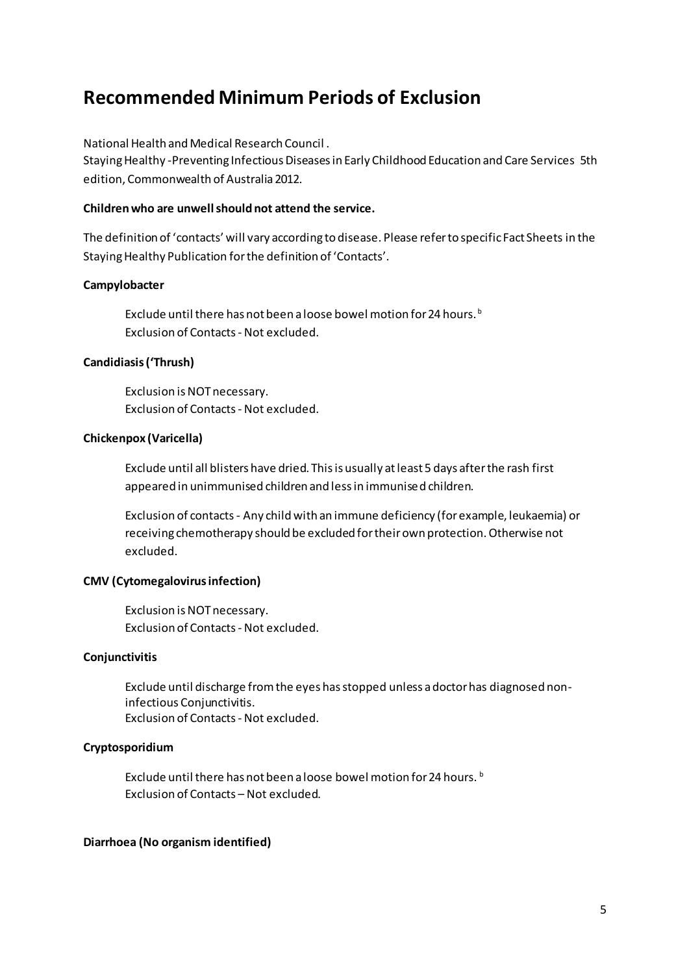# **Recommended Minimum Periods of Exclusion**

National Health and Medical Research Council .

Staying Healthy -Preventing Infectious Diseases in Early Childhood Education and Care Services 5th edition, Commonwealth of Australia 2012.

### **Children who are unwell should not attend the service.**

The definition of 'contacts' will vary according to disease. Please refer to specific Fact Sheets in the Staying Healthy Publication for the definition of 'Contacts'.

### **Campylobacter**

Exclude until there has not been a loose bowel motion for 24 hours.<sup>b</sup> Exclusion of Contacts - Not excluded.

### **Candidiasis (͚Thrush)**

Exclusion is NOT necessary. Exclusion of Contacts - Not excluded.

### **Chickenpox (Varicella)**

Exclude until all blisters have dried. This is usually at least 5 days after the rash first appeared in unimmunised children and less in immunised children.

Exclusion of contacts - Any child with an immune deficiency (for example, leukaemia) or receiving chemotherapy should be excluded for their own protection. Otherwise not excluded.

# **CMV (Cytomegalovirus infection)**

Exclusion is NOT necessary. Exclusion of Contacts - Not excluded.

#### **Conjunctivitis**

Exclude until discharge from the eyes has stopped unless a doctor has diagnosed noninfectious Conjunctivitis. Exclusion of Contacts - Not excluded.

# **Cryptosporidium**

Exclude until there has not been a loose bowel motion for 24 hours.<sup>b</sup> Exclusion of Contacts – Not excluded.

#### **Diarrhoea (No organism identified)**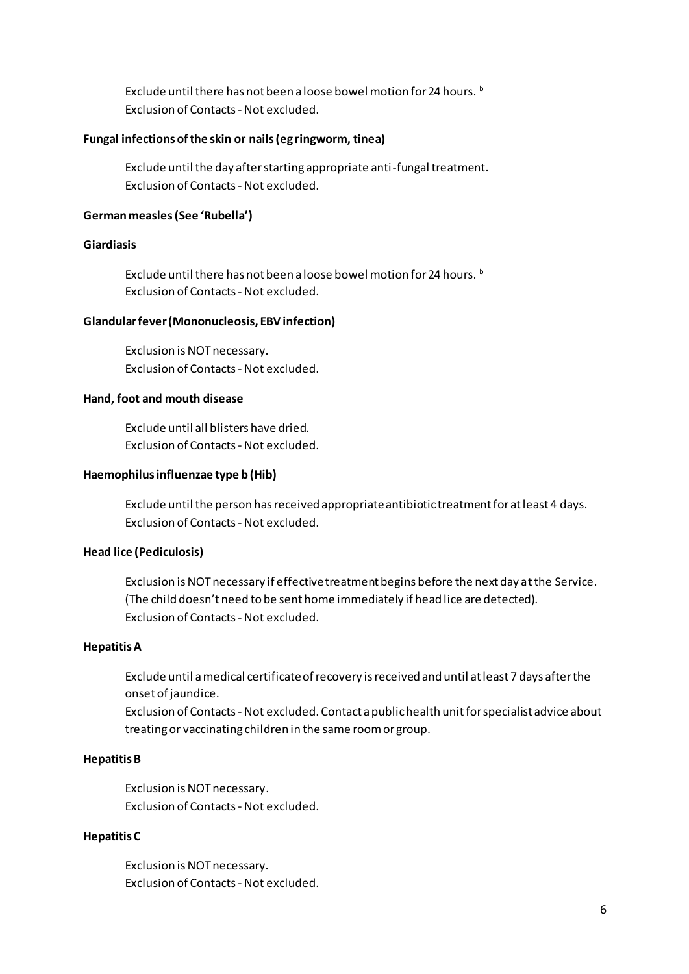Exclude until there has not been a loose bowel motion for 24 hours. b Exclusion of Contacts - Not excluded.

#### **Fungal infections of the skin or nails (eg ringworm, tinea)**

Exclude until the day after starting appropriate anti-fungal treatment. Exclusion of Contacts - Not excluded.

#### **German measles (See ͚Ruďella͛)**

#### **Giardiasis**

Exclude until there has not been a loose bowel motion for 24 hours.<sup>b</sup> Exclusion of Contacts - Not excluded.

#### **Glandular fever (Mononucleosis, EBV infection)**

Exclusion is NOT necessary. Exclusion of Contacts - Not excluded.

#### **Hand, foot and mouth disease**

Exclude until all blisters have dried. Exclusion of Contacts - Not excluded.

#### **Haemophilus influenzae type b (Hib)**

Exclude until the person has received appropriate antibiotic treatment for at least 4 days. Exclusion of Contacts - Not excluded.

### **Head lice (Pediculosis)**

Exclusion is NOT necessary if effective treatment begins before the next day at the Service. (The child doesn't need to be sent home immediately if head lice are detected). Exclusion of Contacts - Not excluded.

#### **Hepatitis A**

Exclude until a medical certificate of recovery is received and until at least 7 days after the onset of jaundice.

Exclusion of Contacts - Not excluded. Contact a public health unit for specialist advice about treating or vaccinating children in the same room or group.

#### **Hepatitis B**

Exclusion is NOT necessary. Exclusion of Contacts - Not excluded.

#### **Hepatitis C**

Exclusion is NOT necessary. Exclusion of Contacts - Not excluded.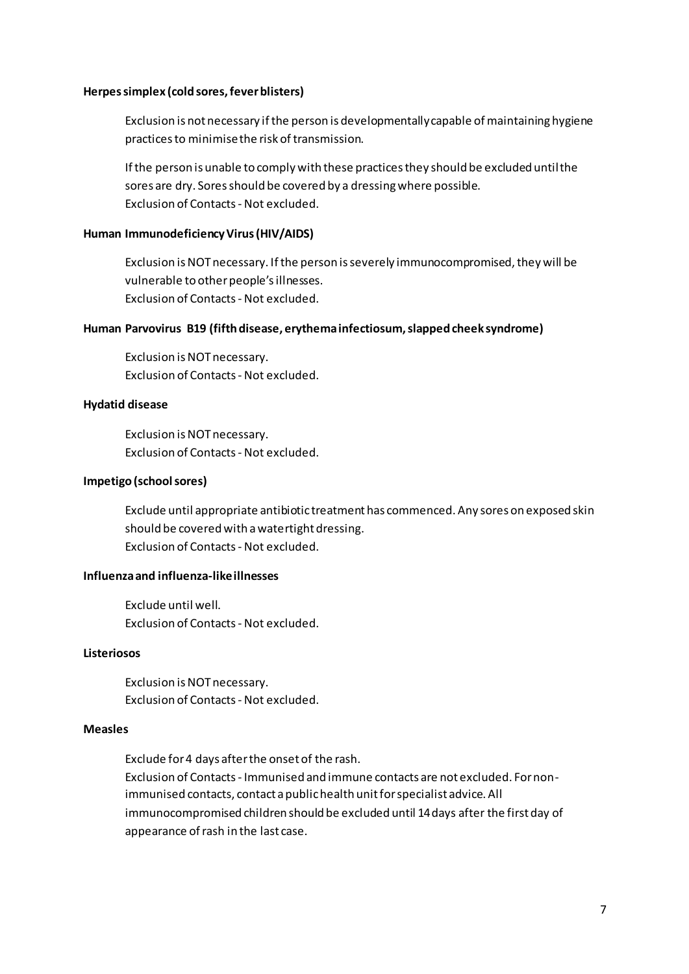#### **Herpes simplex (cold sores, fever blisters)**

Exclusion is not necessary if the person is developmentally capable of maintaining hygiene practices to minimise the risk of transmission.

If the person is unable to comply with these practices they should be excluded until the sores are dry. Sores should be covered by a dressing where possible. Exclusion of Contacts - Not excluded.

### **Human Immunodeficiency Virus (HIV/AIDS)**

Exclusion is NOT necessary. If the person is severely immunocompromised, they will be vulnerable to other people's illnesses. Exclusion of Contacts - Not excluded.

#### **Human Parvovirus B19 (fifth disease, erythema infectiosum, slapped cheek syndrome)**

Exclusion is NOT necessary. Exclusion of Contacts - Not excluded.

### **Hydatid disease**

Exclusion is NOT necessary. Exclusion of Contacts - Not excluded.

#### **Impetigo (school sores)**

Exclude until appropriate antibiotic treatment has commenced. Any sores on exposed skin should be covered with a watertight dressing. Exclusion of Contacts - Not excluded.

## **Influenza and influenza-like illnesses**

Exclude until well. Exclusion of Contacts - Not excluded.

### **Listeriosos**

Exclusion is NOT necessary. Exclusion of Contacts - Not excluded.

#### **Measles**

Exclude for 4 days after the onset of the rash. Exclusion of Contacts - Immunised and immune contacts are not excluded. For nonimmunised contacts, contact a public health unit for specialist advice. All immunocompromised children should be excluded until 14 days after the first day of appearance of rash in the last case.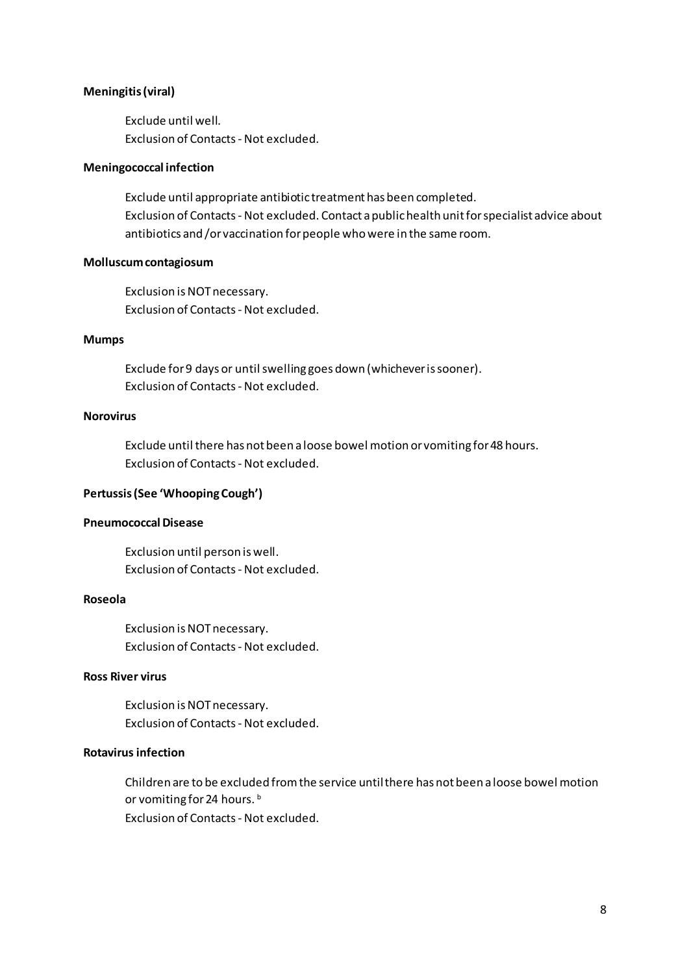#### **Meningitis (viral)**

Exclude until well. Exclusion of Contacts - Not excluded.

#### **Meningococcal infection**

Exclude until appropriate antibiotic treatment has been completed. Exclusion of Contacts - Not excluded. Contact a public health unit for specialist advice about antibiotics and /or vaccination for people who were in the same room.

#### **Molluscum contagiosum**

Exclusion is NOT necessary. Exclusion of Contacts - Not excluded.

#### **Mumps**

Exclude for 9 days or until swelling goes down (whichever is sooner). Exclusion of Contacts - Not excluded.

### **Norovirus**

Exclude until there has not been a loose bowel motion or vomiting for 48 hours. Exclusion of Contacts - Not excluded.

# **Pertussis (See 'Whooping Cough')**

#### **Pneumococcal Disease**

Exclusion until person is well. Exclusion of Contacts - Not excluded.

### **Roseola**

Exclusion is NOT necessary. Exclusion of Contacts - Not excluded.

# **Ross River virus**

Exclusion is NOT necessary. Exclusion of Contacts - Not excluded.

## **Rotavirus infection**

Children are to be excluded from the service until there has not been a loose bowel motion or vomiting for 24 hours.<sup>b</sup> Exclusion of Contacts - Not excluded.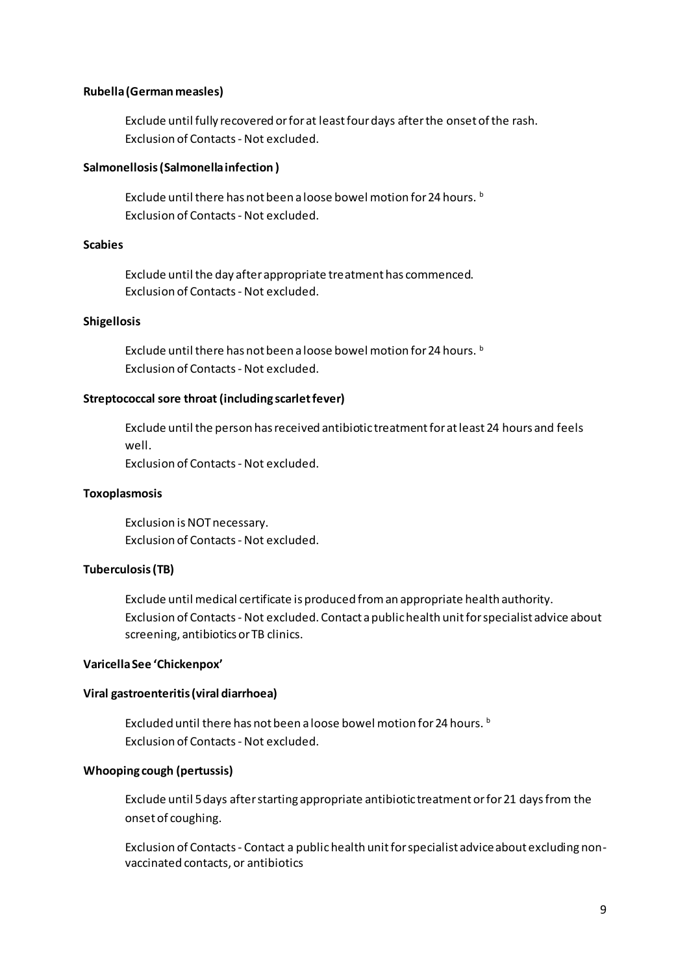#### **Rubella (German measles)**

Exclude until fully recovered or for at least four days after the onset of the rash. Exclusion of Contacts - Not excluded.

#### **Salmonellosis (Salmonella infection )**

Exclude until there has not been a loose bowel motion for 24 hours.<sup>b</sup> Exclusion of Contacts - Not excluded.

### **Scabies**

Exclude until the day after appropriate treatment has commenced. Exclusion of Contacts - Not excluded.

#### **Shigellosis**

Exclude until there has not been a loose bowel motion for 24 hours. b Exclusion of Contacts - Not excluded.

#### **Streptococcal sore throat (including scarlet fever)**

Exclude until the person has received antibiotic treatment for at least 24 hours and feels well.

Exclusion of Contacts - Not excluded.

#### **Toxoplasmosis**

Exclusion is NOT necessary. Exclusion of Contacts - Not excluded.

#### **Tuberculosis (TB)**

Exclude until medical certificate is produced from an appropriate health authority. Exclusion of Contacts - Not excluded. Contact a public health unit for specialist advice about screening, antibiotics or TB clinics.

#### Varicella See 'Chickenpox'

#### **Viral gastroenteritis (viral diarrhoea)**

Excluded until there has not been a loose bowel motion for 24 hours. **b** Exclusion of Contacts - Not excluded.

#### **Whooping cough (pertussis)**

Exclude until 5 days after starting appropriate antibiotic treatment or for 21 days from the onset of coughing.

Exclusion of Contacts - Contact a public health unit for specialist advice about excluding nonvaccinated contacts, or antibiotics